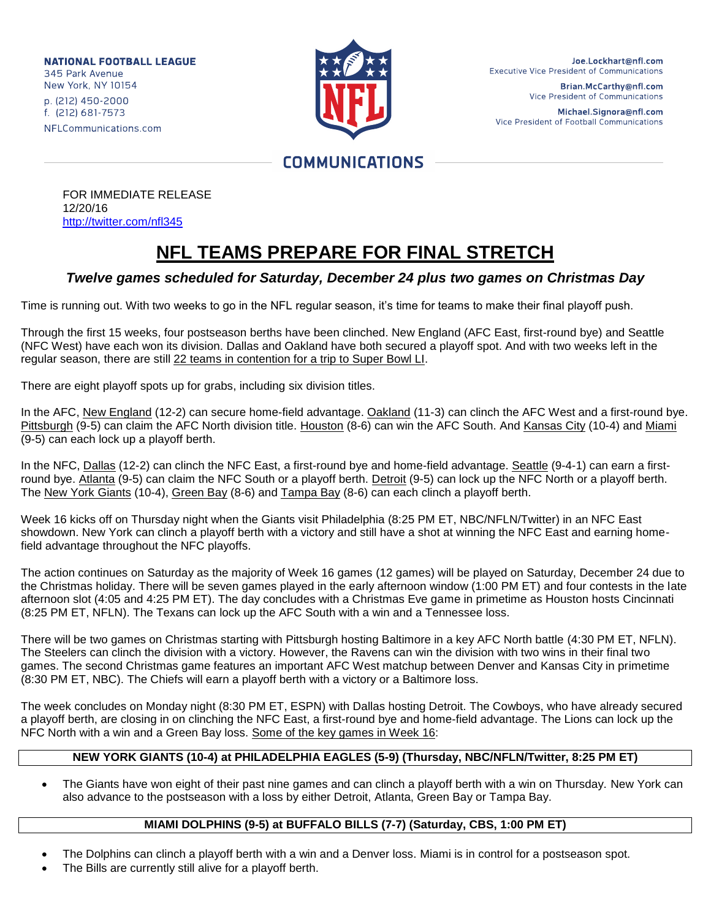**NATIONAL FOOTBALL LEAGUE** 345 Park Avenue New York, NY 10154 p. (212) 450-2000 f. (212) 681-7573 NFLCommunications.com



Joe.Lockhart@nfl.com **Executive Vice President of Communications** 

> Brian.McCarthy@nfl.com Vice President of Communications

Michael.Signora@nfl.com Vice President of Football Communications

# **COMMUNICATIONS**

FOR IMMEDIATE RELEASE 12/20/16 <http://twitter.com/nfl345>

# **NFL TEAMS PREPARE FOR FINAL STRETCH**

## *Twelve games scheduled for Saturday, December 24 plus two games on Christmas Day*

Time is running out. With two weeks to go in the NFL regular season, it's time for teams to make their final playoff push.

Through the first 15 weeks, four postseason berths have been clinched. New England (AFC East, first-round bye) and Seattle (NFC West) have each won its division. Dallas and Oakland have both secured a playoff spot. And with two weeks left in the regular season, there are still 22 teams in contention for a trip to Super Bowl LI.

There are eight playoff spots up for grabs, including six division titles.

In the AFC, New England (12-2) can secure home-field advantage. Oakland (11-3) can clinch the AFC West and a first-round bye. Pittsburgh (9-5) can claim the AFC North division title. Houston (8-6) can win the AFC South. And Kansas City (10-4) and Miami (9-5) can each lock up a playoff berth.

In the NFC, Dallas (12-2) can clinch the NFC East, a first-round bye and home-field advantage. Seattle (9-4-1) can earn a firstround bye. Atlanta (9-5) can claim the NFC South or a playoff berth. Detroit (9-5) can lock up the NFC North or a playoff berth. The New York Giants (10-4), Green Bay (8-6) and Tampa Bay (8-6) can each clinch a playoff berth.

Week 16 kicks off on Thursday night when the Giants visit Philadelphia (8:25 PM ET, NBC/NFLN/Twitter) in an NFC East showdown. New York can clinch a playoff berth with a victory and still have a shot at winning the NFC East and earning homefield advantage throughout the NFC playoffs.

The action continues on Saturday as the majority of Week 16 games (12 games) will be played on Saturday, December 24 due to the Christmas holiday. There will be seven games played in the early afternoon window (1:00 PM ET) and four contests in the late afternoon slot (4:05 and 4:25 PM ET). The day concludes with a Christmas Eve game in primetime as Houston hosts Cincinnati (8:25 PM ET, NFLN). The Texans can lock up the AFC South with a win and a Tennessee loss.

There will be two games on Christmas starting with Pittsburgh hosting Baltimore in a key AFC North battle (4:30 PM ET, NFLN). The Steelers can clinch the division with a victory. However, the Ravens can win the division with two wins in their final two games. The second Christmas game features an important AFC West matchup between Denver and Kansas City in primetime (8:30 PM ET, NBC). The Chiefs will earn a playoff berth with a victory or a Baltimore loss.

The week concludes on Monday night (8:30 PM ET, ESPN) with Dallas hosting Detroit. The Cowboys, who have already secured a playoff berth, are closing in on clinching the NFC East, a first-round bye and home-field advantage. The Lions can lock up the NFC North with a win and a Green Bay loss. Some of the key games in Week 16:

### **NEW YORK GIANTS (10-4) at PHILADELPHIA EAGLES (5-9) (Thursday, NBC/NFLN/Twitter, 8:25 PM ET)**

 The Giants have won eight of their past nine games and can clinch a playoff berth with a win on Thursday. New York can also advance to the postseason with a loss by either Detroit, Atlanta, Green Bay or Tampa Bay.

### **MIAMI DOLPHINS (9-5) at BUFFALO BILLS (7-7) (Saturday, CBS, 1:00 PM ET)**

- The Dolphins can clinch a playoff berth with a win and a Denver loss. Miami is in control for a postseason spot.
- The Bills are currently still alive for a playoff berth.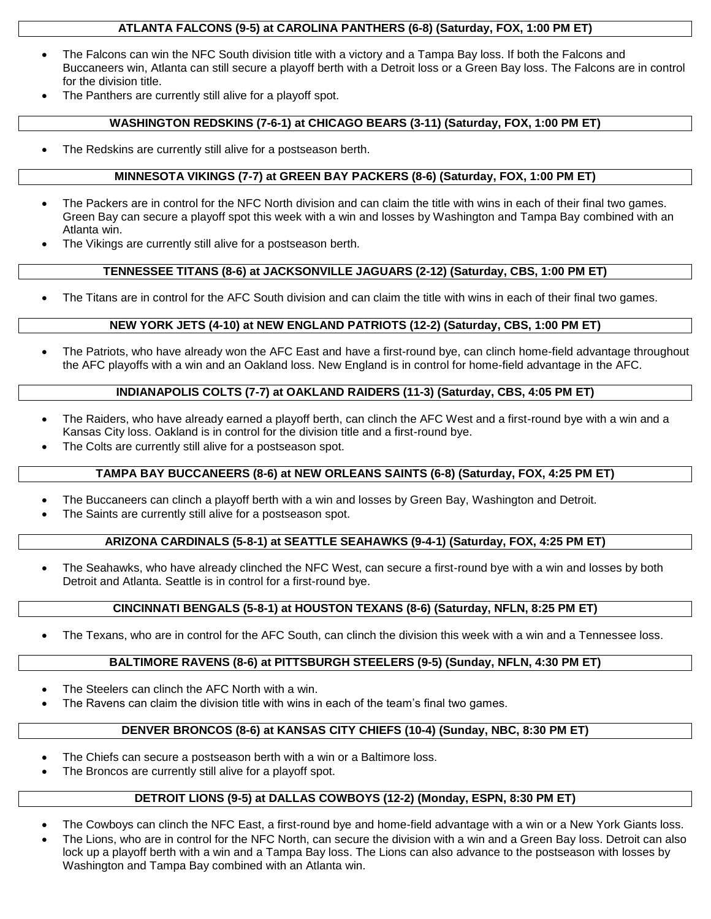#### **ATLANTA FALCONS (9-5) at CAROLINA PANTHERS (6-8) (Saturday, FOX, 1:00 PM ET)**

- The Falcons can win the NFC South division title with a victory and a Tampa Bay loss. If both the Falcons and Buccaneers win, Atlanta can still secure a playoff berth with a Detroit loss or a Green Bay loss. The Falcons are in control for the division title.
- The Panthers are currently still alive for a playoff spot.

#### **WASHINGTON REDSKINS (7-6-1) at CHICAGO BEARS (3-11) (Saturday, FOX, 1:00 PM ET)**

The Redskins are currently still alive for a postseason berth.

#### **MINNESOTA VIKINGS (7-7) at GREEN BAY PACKERS (8-6) (Saturday, FOX, 1:00 PM ET)**

- The Packers are in control for the NFC North division and can claim the title with wins in each of their final two games. Green Bay can secure a playoff spot this week with a win and losses by Washington and Tampa Bay combined with an Atlanta win.
- The Vikings are currently still alive for a postseason berth.

#### **TENNESSEE TITANS (8-6) at JACKSONVILLE JAGUARS (2-12) (Saturday, CBS, 1:00 PM ET)**

The Titans are in control for the AFC South division and can claim the title with wins in each of their final two games.

#### **NEW YORK JETS (4-10) at NEW ENGLAND PATRIOTS (12-2) (Saturday, CBS, 1:00 PM ET)**

 The Patriots, who have already won the AFC East and have a first-round bye, can clinch home-field advantage throughout the AFC playoffs with a win and an Oakland loss. New England is in control for home-field advantage in the AFC.

#### **INDIANAPOLIS COLTS (7-7) at OAKLAND RAIDERS (11-3) (Saturday, CBS, 4:05 PM ET)**

- The Raiders, who have already earned a playoff berth, can clinch the AFC West and a first-round bye with a win and a Kansas City loss. Oakland is in control for the division title and a first-round bye.
- The Colts are currently still alive for a postseason spot.

#### **TAMPA BAY BUCCANEERS (8-6) at NEW ORLEANS SAINTS (6-8) (Saturday, FOX, 4:25 PM ET)**

- The Buccaneers can clinch a playoff berth with a win and losses by Green Bay, Washington and Detroit.
- The Saints are currently still alive for a postseason spot.

#### **ARIZONA CARDINALS (5-8-1) at SEATTLE SEAHAWKS (9-4-1) (Saturday, FOX, 4:25 PM ET)**

• The Seahawks, who have already clinched the NFC West, can secure a first-round bye with a win and losses by both Detroit and Atlanta. Seattle is in control for a first-round bye.

#### **CINCINNATI BENGALS (5-8-1) at HOUSTON TEXANS (8-6) (Saturday, NFLN, 8:25 PM ET)**

The Texans, who are in control for the AFC South, can clinch the division this week with a win and a Tennessee loss.

#### **BALTIMORE RAVENS (8-6) at PITTSBURGH STEELERS (9-5) (Sunday, NFLN, 4:30 PM ET)**

- The Steelers can clinch the AFC North with a win.
- The Ravens can claim the division title with wins in each of the team's final two games.

#### **DENVER BRONCOS (8-6) at KANSAS CITY CHIEFS (10-4) (Sunday, NBC, 8:30 PM ET)**

- The Chiefs can secure a postseason berth with a win or a Baltimore loss.
- The Broncos are currently still alive for a playoff spot.

### **DETROIT LIONS (9-5) at DALLAS COWBOYS (12-2) (Monday, ESPN, 8:30 PM ET)**

- The Cowboys can clinch the NFC East, a first-round bye and home-field advantage with a win or a New York Giants loss.
- The Lions, who are in control for the NFC North, can secure the division with a win and a Green Bay loss. Detroit can also lock up a playoff berth with a win and a Tampa Bay loss. The Lions can also advance to the postseason with losses by Washington and Tampa Bay combined with an Atlanta win.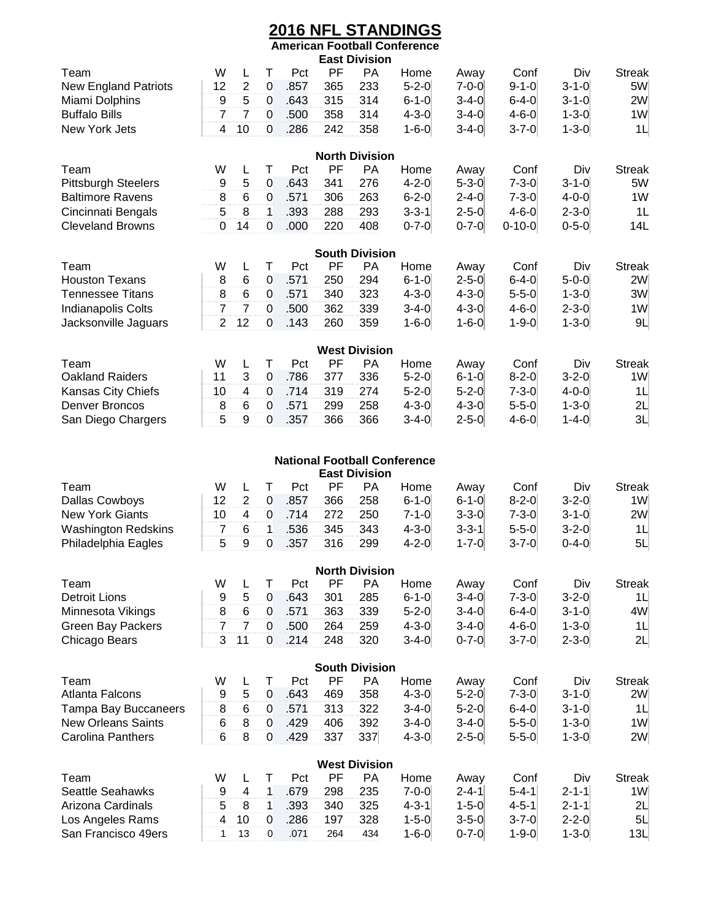# **2016 NFL STANDINGS**

|                             |                  |                         |                  |      |     |                       | <b>American Football Conference</b> |             |              |             |                |
|-----------------------------|------------------|-------------------------|------------------|------|-----|-----------------------|-------------------------------------|-------------|--------------|-------------|----------------|
|                             |                  |                         |                  |      |     | <b>East Division</b>  |                                     |             |              |             |                |
| Team                        | W                | L                       | Τ                | Pct  | PF  | <b>PA</b>             | Home                                | Away        | Conf         | Div         | <b>Streak</b>  |
| <b>New England Patriots</b> | 12               | $\overline{2}$          | $\boldsymbol{0}$ | .857 | 365 | 233                   | $5 - 2 - 0$                         | $7 - 0 - 0$ | $9 - 1 - 0$  | $3 - 1 - 0$ | 5W             |
| Miami Dolphins              | 9                | 5                       | 0                | .643 | 315 | 314                   | $6 - 1 - 0$                         | $3 - 4 - 0$ | $6 - 4 - 0$  | $3 - 1 - 0$ | 2W             |
| <b>Buffalo Bills</b>        | $\overline{7}$   | $\overline{7}$          | $\mathbf 0$      | .500 | 358 | 314                   | $4 - 3 - 0$                         | $3 - 4 - 0$ | $4 - 6 - 0$  | $1 - 3 - 0$ | 1W             |
| New York Jets               | 4                | 10                      | $\mathbf 0$      | .286 | 242 | 358                   | $1 - 6 - 0$                         | $3 - 4 - 0$ | $3 - 7 - 0$  | $1 - 3 - 0$ | 1L             |
|                             |                  |                         |                  |      |     |                       |                                     |             |              |             |                |
|                             |                  |                         |                  |      |     | <b>North Division</b> |                                     |             |              |             |                |
| Team                        | W                | L                       | Т                | Pct  | PF  | PA                    | Home                                | Away        | Conf         | Div         | <b>Streak</b>  |
| <b>Pittsburgh Steelers</b>  | 9                | 5                       | $\boldsymbol{0}$ | .643 | 341 | 276                   | $4 - 2 - 0$                         | $5 - 3 - 0$ | $7 - 3 - 0$  | $3 - 1 - 0$ | 5W             |
| <b>Baltimore Ravens</b>     | 8                | 6                       | 0                | .571 | 306 | 263                   | $6 - 2 - 0$                         | $2 - 4 - 0$ | $7 - 3 - 0$  | $4 - 0 - 0$ | 1W             |
| Cincinnati Bengals          | 5                | 8                       | 1                | .393 | 288 | 293                   | $3 - 3 - 1$                         | $2 - 5 - 0$ | $4 - 6 - 0$  | $2 - 3 - 0$ | 1L             |
| <b>Cleveland Browns</b>     | 0                | 14                      | 0                | .000 | 220 | 408                   | $0 - 7 - 0$                         | $0 - 7 - 0$ | $0 - 10 - 0$ | $0 - 5 - 0$ | 14L            |
|                             |                  |                         |                  |      |     |                       |                                     |             |              |             |                |
|                             |                  |                         |                  |      |     | <b>South Division</b> |                                     |             |              |             |                |
| Team                        | W                | L                       | Τ                | Pct  | PF  | РA                    | Home                                | Away        | Conf         | Div         | <b>Streak</b>  |
| <b>Houston Texans</b>       | 8                | 6                       | 0                | .571 | 250 | 294                   | $6 - 1 - 0$                         | $2 - 5 - 0$ | $6 - 4 - 0$  | $5 - 0 - 0$ | 2W             |
| <b>Tennessee Titans</b>     | 8                | $\,6$                   | 0                | .571 | 340 | 323                   | $4 - 3 - 0$                         | $4 - 3 - 0$ | $5 - 5 - 0$  | $1 - 3 - 0$ | 3W             |
| Indianapolis Colts          | $\overline{7}$   | $\overline{7}$          | 0                | .500 | 362 | 339                   | $3 - 4 - 0$                         | $4 - 3 - 0$ | $4 - 6 - 0$  | $2 - 3 - 0$ | 1W             |
| Jacksonville Jaguars        | $\overline{2}$   | 12                      | 0                | .143 | 260 | 359                   | $1 - 6 - 0$                         | $1 - 6 - 0$ | $1 - 9 - 0$  | $1 - 3 - 0$ | 9L             |
|                             |                  |                         |                  |      |     |                       |                                     |             |              |             |                |
|                             |                  |                         |                  |      |     | <b>West Division</b>  |                                     |             |              |             |                |
| Team                        | W                | L                       | Τ                | Pct  | PF  | PA                    | Home                                | Away        | Conf         | Div         | <b>Streak</b>  |
| <b>Oakland Raiders</b>      | 11               | 3                       | 0                | .786 | 377 | 336                   | $5 - 2 - 0$                         | $6 - 1 - 0$ | $8 - 2 - 0$  | $3 - 2 - 0$ | 1W             |
| Kansas City Chiefs          | 10               | $\overline{\mathbf{4}}$ | 0                | .714 | 319 | 274                   | $5 - 2 - 0$                         | $5 - 2 - 0$ | $7 - 3 - 0$  | $4 - 0 - 0$ | 1 <sub>L</sub> |
| <b>Denver Broncos</b>       | 8                | 6                       | 0                | .571 | 299 | 258                   | $4 - 3 - 0$                         | $4 - 3 - 0$ | $5 - 5 - 0$  | $1 - 3 - 0$ | 2L             |
| San Diego Chargers          | 5                | 9                       | 0                | .357 | 366 | 366                   | $3 - 4 - 0$                         | $2 - 5 - 0$ | $4 - 6 - 0$  | $1 - 4 - 0$ | 3L             |
|                             |                  |                         |                  |      |     |                       |                                     |             |              |             |                |
|                             |                  |                         |                  |      |     |                       |                                     |             |              |             |                |
|                             |                  |                         |                  |      |     | <b>East Division</b>  | <b>National Football Conference</b> |             |              |             |                |
| Team                        | W                | L                       | T                | Pct  | PF  | PA                    | Home                                | Away        | Conf         | Div         | <b>Streak</b>  |
| <b>Dallas Cowboys</b>       | 12               | $\boldsymbol{2}$        | $\boldsymbol{0}$ | .857 | 366 | 258                   | $6 - 1 - 0$                         | $6 - 1 - 0$ | $8 - 2 - 0$  | $3 - 2 - 0$ | 1W             |
| <b>New York Giants</b>      | 10               | $\overline{\mathbf{4}}$ | $\mathbf 0$      | .714 | 272 | 250                   | $7 - 1 - 0$                         | $3 - 3 - 0$ | $7 - 3 - 0$  | $3 - 1 - 0$ | 2W             |
| <b>Washington Redskins</b>  | $\boldsymbol{7}$ | 6                       | 1                | .536 | 345 | 343                   | $4 - 3 - 0$                         | $3 - 3 - 1$ | $5 - 5 - 0$  | $3 - 2 - 0$ | 1 <sub>L</sub> |
| Philadelphia Eagles         | 5                | 9                       | 0                | .357 | 316 | 299                   | $4 - 2 - 0$                         | $1 - 7 - 0$ | $3 - 7 - 0$  | $0 - 4 - 0$ | 5L             |
|                             |                  |                         |                  |      |     |                       |                                     |             |              |             |                |
|                             |                  |                         |                  |      |     | <b>North Division</b> |                                     |             |              |             |                |
| Team                        | W                | L                       | T                | Pct  | PF  | <b>PA</b>             | Home                                | Away        | Conf         | Div         | <b>Streak</b>  |
| <b>Detroit Lions</b>        | 9                | $\mathbf 5$             | $\boldsymbol{0}$ | .643 | 301 | 285                   | $6 - 1 - 0$                         | $3 - 4 - 0$ | $7 - 3 - 0$  | $3 - 2 - 0$ | 1L             |
| Minnesota Vikings           | 8                | $\,6$                   | 0                | .571 | 363 | 339                   | $5 - 2 - 0$                         | $3 - 4 - 0$ | $6 - 4 - 0$  | $3 - 1 - 0$ | 4W             |
| <b>Green Bay Packers</b>    | $\overline{7}$   | $\overline{7}$          | $\mathbf 0$      | .500 | 264 | 259                   | $4 - 3 - 0$                         | $3 - 4 - 0$ | $4 - 6 - 0$  | $1 - 3 - 0$ | 1L             |
| Chicago Bears               | 3                | 11                      | 0                | .214 | 248 | 320                   | $3 - 4 - 0$                         | $0 - 7 - 0$ | $3 - 7 - 0$  | $2 - 3 - 0$ | 2L             |
|                             |                  |                         |                  |      |     |                       |                                     |             |              |             |                |
|                             |                  |                         |                  |      |     | <b>South Division</b> |                                     |             |              |             |                |
| Team                        | W                | L                       | Τ                | Pct  | PF  | PA                    | Home                                | Away        | Conf         | Div         | <b>Streak</b>  |
| <b>Atlanta Falcons</b>      | 9                | 5                       | $\boldsymbol{0}$ | .643 | 469 | 358                   | $4 - 3 - 0$                         | $5 - 2 - 0$ | $7 - 3 - 0$  | $3 - 1 - 0$ | 2W             |
| <b>Tampa Bay Buccaneers</b> | 8                | $\,6$                   | $\boldsymbol{0}$ | .571 | 313 | 322                   | $3-4-0$                             | $5 - 2 - 0$ | $6 - 4 - 0$  | $3 - 1 - 0$ | 1L             |
| <b>New Orleans Saints</b>   | 6                | 8                       | $\boldsymbol{0}$ | .429 | 406 | 392                   | $3 - 4 - 0$                         | $3 - 4 - 0$ | $5 - 5 - 0$  | $1 - 3 - 0$ | 1W             |
| Carolina Panthers           | 6                | 8                       | 0                | .429 | 337 | 337                   | $4 - 3 - 0$                         | $2 - 5 - 0$ | $5 - 5 - 0$  | $1 - 3 - 0$ | 2W             |
|                             |                  |                         |                  |      |     |                       |                                     |             |              |             |                |

| <b>West Division</b> |   |  |  |      |     |           |              |             |             |             |                  |
|----------------------|---|--|--|------|-----|-----------|--------------|-------------|-------------|-------------|------------------|
| $\tau$ eam           | W |  |  | Pct  | РF  | <b>PA</b> | Home         | Awav        | Conf        | Div         | Streak           |
| Seattle Seahawks     |   |  |  | 679  | 298 | 235       | 7-0-0        | $2 - 4 - 1$ | $5 - 4 - 1$ | $2 - 1 - 1$ | 1W               |
| Arizona Cardinals    |   |  |  | .393 | 340 | 325       | $4 - 3 - 1'$ | $1 - 5 - 0$ | 4-5-1       | $2 - 1 - 1$ | 2L               |
| Los Angeles Rams     |   |  |  | 286  | 197 | 328       | $1 - 5 - 0$  | $3 - 5 - 0$ | $3 - 7 - 0$ | 2-2-01      | 5L               |
| San Francisco 49ers  |   |  |  | 07'  | 264 | 434       | $1 - 6 - 0$  | $0 - 7 - 0$ | 1-9-01      | 1-3-0       | 13L <sub>1</sub> |